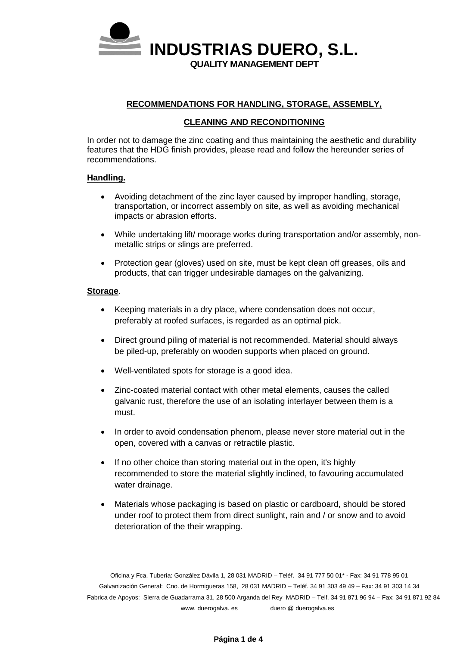

#### **RECOMMENDATIONS FOR HANDLING, STORAGE, ASSEMBLY,**

#### **CLEANING AND RECONDITIONING**

In order not to damage the zinc coating and thus maintaining the aesthetic and durability features that the HDG finish provides, please read and follow the hereunder series of recommendations.

#### **Handling.**

- Avoiding detachment of the zinc layer caused by improper handling, storage, transportation, or incorrect assembly on site, as well as avoiding mechanical impacts or abrasion efforts.
- While undertaking lift/ moorage works during transportation and/or assembly, nonmetallic strips or slings are preferred.
- Protection gear (gloves) used on site, must be kept clean off greases, oils and products, that can trigger undesirable damages on the galvanizing.

#### **Storage**.

- Keeping materials in a dry place, where condensation does not occur, preferably at roofed surfaces, is regarded as an optimal pick.
- Direct ground piling of material is not recommended. Material should always be piled-up, preferably on wooden supports when placed on ground.
- Well-ventilated spots for storage is a good idea.
- Zinc-coated material contact with other metal elements, causes the called galvanic rust, therefore the use of an isolating interlayer between them is a must.
- In order to avoid condensation phenom, please never store material out in the open, covered with a canvas or retractile plastic.
- If no other choice than storing material out in the open, it's highly recommended to store the material slightly inclined, to favouring accumulated water drainage.
- Materials whose packaging is based on plastic or cardboard, should be stored under roof to protect them from direct sunlight, rain and / or snow and to avoid deterioration of the their wrapping.

Oficina y Fca. Tubería: González Dávila 1, 28 031 MADRID – Teléf. 34 91 777 50 01\* - Fax: 34 91 778 95 01 Galvanización General: Cno. de Hormigueras 158, 28 031 MADRID – Teléf. 34 91 303 49 49 – Fax: 34 91 303 14 34 Fabrica de Apoyos: Sierra de Guadarrama 31, 28 500 Arganda del Rey MADRID – Telf. 34 91 871 96 94 – Fax: 34 91 871 92 84 www. duerogalva. es duero @ duerogalva.es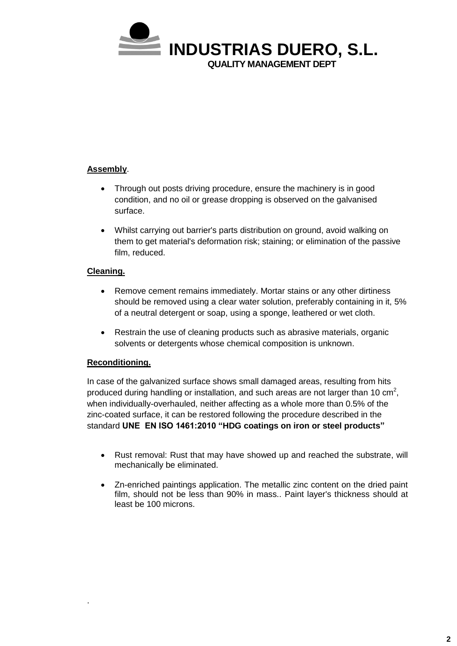

# **Assembly**.

- Through out posts driving procedure, ensure the machinery is in good condition, and no oil or grease dropping is observed on the galvanised surface.
- Whilst carrying out barrier's parts distribution on ground, avoid walking on them to get material's deformation risk; staining; or elimination of the passive film, reduced.

# **Cleaning.**

- Remove cement remains immediately. Mortar stains or any other dirtiness should be removed using a clear water solution, preferably containing in it, 5% of a neutral detergent or soap, using a sponge, leathered or wet cloth.
- Restrain the use of cleaning products such as abrasive materials, organic solvents or detergents whose chemical composition is unknown.

## **Reconditioning.**

.

In case of the galvanized surface shows small damaged areas, resulting from hits produced during handling or installation, and such areas are not larger than 10 cm<sup>2</sup>, when individually-overhauled, neither affecting as a whole more than 0.5% of the zinc-coated surface, it can be restored following the procedure described in the standard **UNE EN ISO 1461:2010 "HDG coatings on iron or steel products"**

- Rust removal: Rust that may have showed up and reached the substrate, will mechanically be eliminated.
- Zn-enriched paintings application. The metallic zinc content on the dried paint film, should not be less than 90% in mass.. Paint layer's thickness should at least be 100 microns.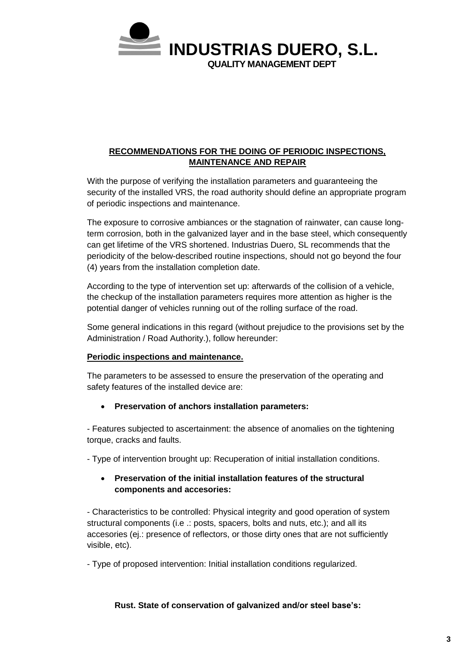

# **RECOMMENDATIONS FOR THE DOING OF PERIODIC INSPECTIONS, MAINTENANCE AND REPAIR**

With the purpose of verifying the installation parameters and guaranteeing the security of the installed VRS, the road authority should define an appropriate program of periodic inspections and maintenance.

The exposure to corrosive ambiances or the stagnation of rainwater, can cause longterm corrosion, both in the galvanized layer and in the base steel, which consequently can get lifetime of the VRS shortened. Industrias Duero, SL recommends that the periodicity of the below-described routine inspections, should not go beyond the four (4) years from the installation completion date.

According to the type of intervention set up: afterwards of the collision of a vehicle, the checkup of the installation parameters requires more attention as higher is the potential danger of vehicles running out of the rolling surface of the road.

Some general indications in this regard (without prejudice to the provisions set by the Administration / Road Authority.), follow hereunder:

## **Periodic inspections and maintenance.**

The parameters to be assessed to ensure the preservation of the operating and safety features of the installed device are:

## **Preservation of anchors installation parameters:**

- Features subjected to ascertainment: the absence of anomalies on the tightening torque, cracks and faults.

- Type of intervention brought up: Recuperation of initial installation conditions.

## **Preservation of the initial installation features of the structural components and accesories:**

- Characteristics to be controlled: Physical integrity and good operation of system structural components (i.e .: posts, spacers, bolts and nuts, etc.); and all its accesories (ej.: presence of reflectors, or those dirty ones that are not sufficiently visible, etc).

- Type of proposed intervention: Initial installation conditions regularized.